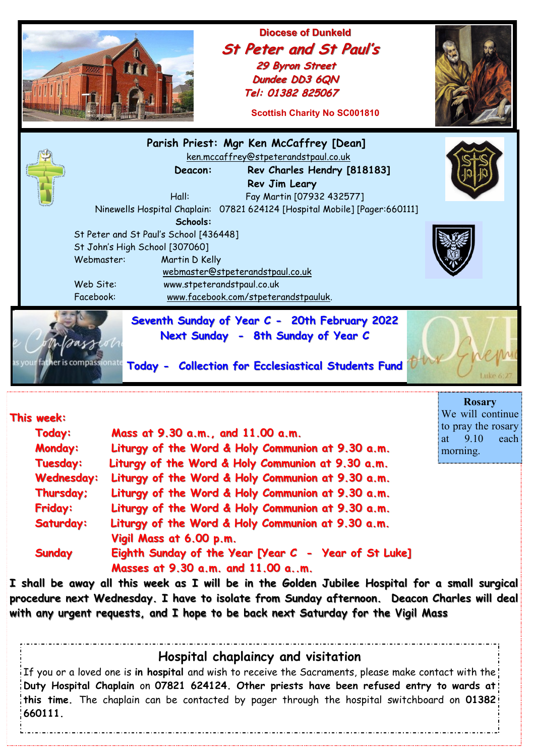|                                                                                                                                                                                                                                                                                                                                                                                                 | Tel: 01382 825067                                                                                                                                                                                                                                                                                                                                                                                                      | <b>Diocese of Dunkeld</b><br><b>St Peter and St Paul's</b><br>29 Byron Street<br>Dundee DD3 6QN<br><b>Scottish Charity No SC001810</b> |                                                                                           |
|-------------------------------------------------------------------------------------------------------------------------------------------------------------------------------------------------------------------------------------------------------------------------------------------------------------------------------------------------------------------------------------------------|------------------------------------------------------------------------------------------------------------------------------------------------------------------------------------------------------------------------------------------------------------------------------------------------------------------------------------------------------------------------------------------------------------------------|----------------------------------------------------------------------------------------------------------------------------------------|-------------------------------------------------------------------------------------------|
| Webmaster:<br>Web Site:<br>Facebook:                                                                                                                                                                                                                                                                                                                                                            | Parish Priest: Mgr Ken McCaffrey [Dean]<br>ken.mccaffrey@stpeterandstpaul.co.uk<br>Deacon:<br>Rev Jim Leary<br>Hall:<br>Ninewells Hospital Chaplain: 07821 624124 [Hospital Mobile] [Pager:660111]<br>Schools:<br>St Peter and St Paul's School [436448]<br>St John's High School [307060]<br>Martin D Kelly<br>webmaster@stpeterandstpaul.co.uk<br>www.stpeterandstpaul.co.uk<br>www.facebook.com/stpeterandstpauluk. | Rev Charles Hendry [818183]<br>Fay Martin [07932 432577]                                                                               |                                                                                           |
| Seventh Sunday of Year C - 20th February 2022<br>Next Sunday - 8th Sunday of Year C<br>as you <b>r father is compassio</b> nate<br>Today - Collection for Ecclesiastical Students Fund                                                                                                                                                                                                          |                                                                                                                                                                                                                                                                                                                                                                                                                        |                                                                                                                                        |                                                                                           |
| This week<br>Today:<br><b>Monday:</b>                                                                                                                                                                                                                                                                                                                                                           | Mass at 9.30 a.m., and 11.00 a.m.<br>Liturgy of the Word & Holy Communion at 9.30 a.m.                                                                                                                                                                                                                                                                                                                                 |                                                                                                                                        | <b>Rosary</b><br>We will continue<br>to pray the rosary<br>9.10<br>each<br>at<br>morning. |
| Tuesday:<br><b>Wednesday:</b><br>Thursday;<br><b>Friday:</b><br>Saturday:                                                                                                                                                                                                                                                                                                                       | Liturgy of the Word & Holy Communion at 9.30 a.m.<br>Liturgy of the Word & Holy Communion at 9.30 a.m.<br>Liturgy of the Word & Holy Communion at 9.30 a.m.<br>Liturgy of the Word & Holy Communion at 9.30 a.m.<br>Liturgy of the Word & Holy Communion at 9.30 a.m.<br>Vigil Mass at 6.00 p.m.                                                                                                                       |                                                                                                                                        |                                                                                           |
| Eighth Sunday of the Year [Year C - Year of St Luke]<br><b>Sunday</b><br>Masses at 9.30 a.m. and 11.00 am.<br>I shall be away all this week as I will be in the Golden Jubilee Hospital for a small surgical<br>procedure next Wednesday. I have to isolate from Sunday afternoon. Deacon Charles will deal<br>with any urgent requests, and I hope to be back next Saturday for the Vigil Mass |                                                                                                                                                                                                                                                                                                                                                                                                                        |                                                                                                                                        |                                                                                           |
| Hospital chaplaincy and visitation<br>If you or a loved one is in hospital and wish to receive the Sacraments, please make contact with the<br>Duty Hospital Chaplain on 07821 624124. Other priests have been refused entry to wards at!                                                                                                                                                       |                                                                                                                                                                                                                                                                                                                                                                                                                        |                                                                                                                                        |                                                                                           |

**this time.** The chaplain can be contacted by pager through the hospital switchboard on **01382** 

**660111.**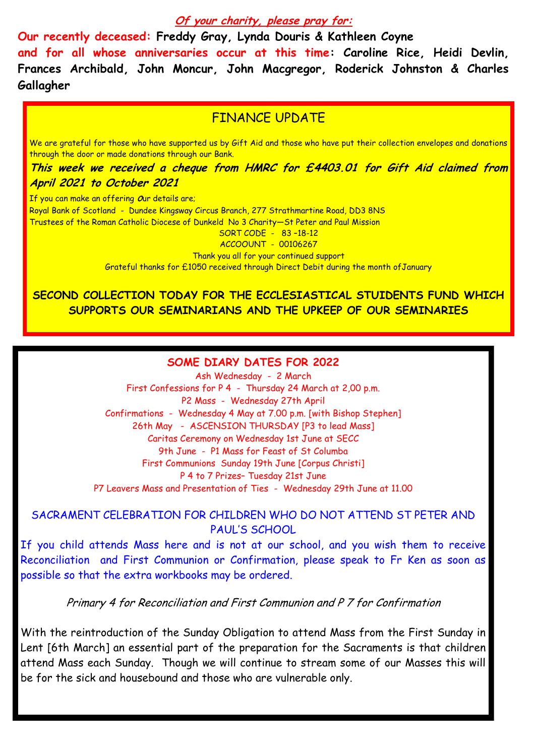#### **Of your charity, please pray for:**

**Our recently deceased: Freddy Gray, Lynda Douris & Kathleen Coyne and for all whose anniversaries occur at this time: Caroline Rice, Heidi Devlin, Frances Archibald, John Moncur, John Macgregor, Roderick Johnston & Charles Gallagher**

# FINANCE UPDATE

We are grateful for those who have supported us by Gift Aid and those who have put their collection envelopes and donations through the door or made donations through our Bank.

**This week we received a cheque from HMRC for £4403.01 for Gift Aid claimed from April 2021 to October 2021**

If you can make an offering Our details are; Royal Bank of Scotland - Dundee Kingsway Circus Branch, 277 Strathmartine Road, DD3 8NS Trustees of the Roman Catholic Diocese of Dunkeld No 3 Charity—St Peter and Paul Mission SORT CODE - 83 –18-12

ACCOOUNT - 00106267

Thank you all for your continued support

Grateful thanks for £1050 received through Direct Debit during the month ofJanuary

## **SECOND COLLECTION TODAY FOR THE ECCLESIASTICAL STUIDENTS FUND WHICH SUPPORTS OUR SEMINARIANS AND THE UPKEEP OF OUR SEMINARIES**

#### **SOME DIARY DATES FOR 2022**

Ash Wednesday - 2 March First Confessions for P 4 - Thursday 24 March at 2,00 p.m. P2 Mass - Wednesday 27th April Confirmations - Wednesday 4 May at 7.00 p.m. [with Bishop Stephen] 26th May - ASCENSION THURSDAY [P3 to lead Mass] Caritas Ceremony on Wednesday 1st June at SECC 9th June - P1 Mass for Feast of St Columba First Communions Sunday 19th June [Corpus Christi] P 4 to 7 Prizes– Tuesday 21st June P7 Leavers Mass and Presentation of Ties - Wednesday 29th June at 11.00

### SACRAMENT CELEBRATION FOR CHILDREN WHO DO NOT ATTEND ST PETER AND PAUL'S SCHOOL

If you child attends Mass here and is not at our school, and you wish them to receive Reconciliation and First Communion or Confirmation, please speak to Fr Ken as soon as possible so that the extra workbooks may be ordered.

Primary 4 for Reconciliation and First Communion and P 7 for Confirmation

With the reintroduction of the Sunday Obligation to attend Mass from the First Sunday in Lent [6th March] an essential part of the preparation for the Sacraments is that children attend Mass each Sunday. Though we will continue to stream some of our Masses this will be for the sick and housebound and those who are vulnerable only.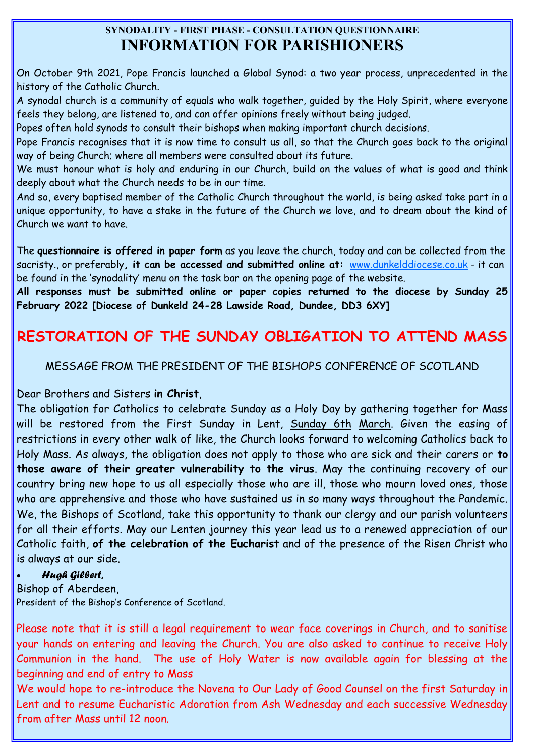## **SYNODALITY - FIRST PHASE - CONSULTATION QUESTIONNAIRE INFORMATION FOR PARISHIONERS**

On October 9th 2021, Pope Francis launched a Global Synod: a two year process, unprecedented in the history of the Catholic Church.

A synodal church is a community of equals who walk together, guided by the Holy Spirit, where everyone feels they belong, are listened to, and can offer opinions freely without being judged.

Popes often hold synods to consult their bishops when making important church decisions.

Pope Francis recognises that it is now time to consult us all, so that the Church goes back to the original way of being Church; where all members were consulted about its future.

We must honour what is holy and enduring in our Church, build on the values of what is good and think deeply about what the Church needs to be in our time.

And so, every baptised member of the Catholic Church throughout the world, is being asked take part in a unique opportunity, to have a stake in the future of the Church we love, and to dream about the kind of Church we want to have.

The **questionnaire is offered in paper form** as you leave the church, today and can be collected from the sacristy., or preferably**, it can be accessed and submitted online at:** [www.dunkelddiocese.co.uk](http://www.dunkelddiocese.co.uk) - it can be found in the 'synodality' menu on the task bar on the opening page of the website.

**All responses must be submitted online or paper copies returned to the diocese by Sunday 25 February 2022 [Diocese of Dunkeld 24-28 Lawside Road, Dundee, DD3 6XY]**

# **RESTORATION OF THE SUNDAY OBLIGATION TO ATTEND MASS**

MESSAGE FROM THE PRESIDENT OF THE BISHOPS CONFERENCE OF SCOTLAND

Dear Brothers and Sisters **in Christ**,

The obligation for Catholics to celebrate Sunday as a Holy Day by gathering together for Mass will be restored from the First Sunday in Lent, Sunday 6th March. Given the easing of restrictions in every other walk of like, the Church looks forward to welcoming Catholics back to Holy Mass. As always, the obligation does not apply to those who are sick and their carers or **to those aware of their greater vulnerability to the virus**. May the continuing recovery of our country bring new hope to us all especially those who are ill, those who mourn loved ones, those who are apprehensive and those who have sustained us in so many ways throughout the Pandemic. We, the Bishops of Scotland, take this opportunity to thank our clergy and our parish volunteers for all their efforts. May our Lenten journey this year lead us to a renewed appreciation of our Catholic faith, **of the celebration of the Eucharist** and of the presence of the Risen Christ who is always at our side.

### *Hugh Gilbert,*

Bishop of Aberdeen, President of the Bishop's Conference of Scotland.

Please note that it is still a legal requirement to wear face coverings in Church, and to sanitise your hands on entering and leaving the Church. You are also asked to continue to receive Holy Communion in the hand. The use of Holy Water is now available again for blessing at the beginning and end of entry to Mass

We would hope to re-introduce the Novena to Our Lady of Good Counsel on the first Saturday in Lent and to resume Eucharistic Adoration from Ash Wednesday and each successive Wednesday from after Mass until 12 noon.